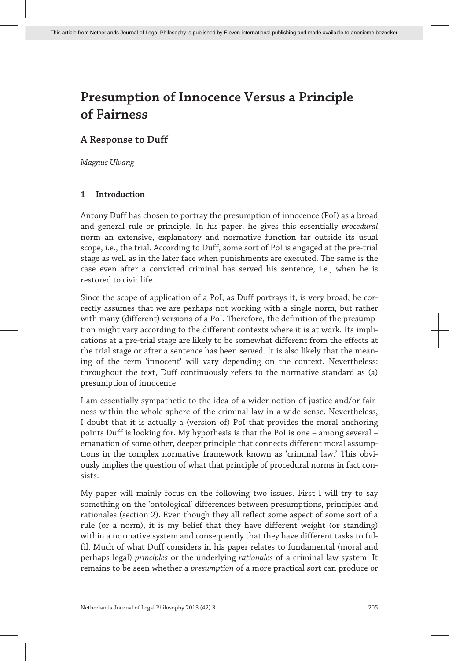# **A Response to Duff**

*Magnus Ulväng*

## **1 Introduction**

Antony Duff has chosen to portray the presumption of innocence (PoI) as a broad and general rule or principle. In his paper, he gives this essentially *procedural* norm an extensive, explanatory and normative function far outside its usual scope, i.e., the trial. According to Duff, some sort of PoI is engaged at the pre-trial stage as well as in the later face when punishments are executed. The same is the case even after a convicted criminal has served his sentence, i.e., when he is restored to civic life.

Since the scope of application of a PoI, as Duff portrays it, is very broad, he correctly assumes that we are perhaps not working with a single norm, but rather with many (different) versions of a PoI. Therefore, the definition of the presumption might vary according to the different contexts where it is at work. Its implications at a pre-trial stage are likely to be somewhat different from the effects at the trial stage or after a sentence has been served. It is also likely that the meaning of the term 'innocent' will vary depending on the context. Nevertheless: throughout the text, Duff continuously refers to the normative standard as (a) presumption of innocence.

I am essentially sympathetic to the idea of a wider notion of justice and/or fairness within the whole sphere of the criminal law in a wide sense. Nevertheless, I doubt that it is actually a (version of) PoI that provides the moral anchoring points Duff is looking for. My hypothesis is that the PoI is one – among several – emanation of some other, deeper principle that connects different moral assumptions in the complex normative framework known as 'criminal law.' This obviously implies the question of what that principle of procedural norms in fact consists.

My paper will mainly focus on the following two issues. First I will try to say something on the 'ontological' differences between presumptions, principles and rationales (section 2). Even though they all reflect some aspect of some sort of a rule (or a norm), it is my belief that they have different weight (or standing) within a normative system and consequently that they have different tasks to fulfil. Much of what Duff considers in his paper relates to fundamental (moral and perhaps legal) *principles* or the underlying *rationales* of a criminal law system. It remains to be seen whether a *presumption* of a more practical sort can produce or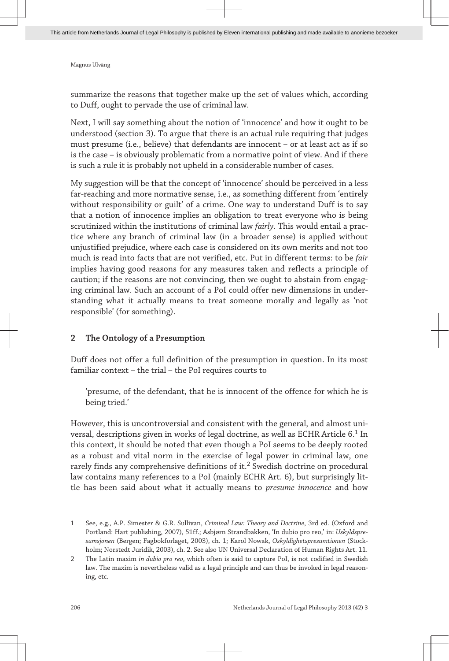summarize the reasons that together make up the set of values which, according to Duff, ought to pervade the use of criminal law.

Next, I will say something about the notion of 'innocence' and how it ought to be understood (section 3). To argue that there is an actual rule requiring that judges must presume (i.e., believe) that defendants are innocent – or at least act as if so is the case – is obviously problematic from a normative point of view. And if there is such a rule it is probably not upheld in a considerable number of cases.

My suggestion will be that the concept of 'innocence' should be perceived in a less far-reaching and more normative sense, i.e., as something different from 'entirely without responsibility or guilt' of a crime. One way to understand Duff is to say that a notion of innocence implies an obligation to treat everyone who is being scrutinized within the institutions of criminal law *fairly*. This would entail a practice where any branch of criminal law (in a broader sense) is applied without unjustified prejudice, where each case is considered on its own merits and not too much is read into facts that are not verified, etc. Put in different terms: to be *fair* implies having good reasons for any measures taken and reflects a principle of caution; if the reasons are not convincing, then we ought to abstain from engaging criminal law. Such an account of a PoI could offer new dimensions in understanding what it actually means to treat someone morally and legally as 'not responsible' (for something).

#### **2 The Ontology of a Presumption**

Duff does not offer a full definition of the presumption in question. In its most familiar context – the trial – the PoI requires courts to

'presume, of the defendant, that he is innocent of the offence for which he is being tried.'

However, this is uncontroversial and consistent with the general, and almost universal, descriptions given in works of legal doctrine, as well as ECHR Article  $6.^1$  In this context, it should be noted that even though a PoI seems to be deeply rooted as a robust and vital norm in the exercise of legal power in criminal law, one rarely finds any comprehensive definitions of it. $^2$  Swedish doctrine on procedural law contains many references to a PoI (mainly ECHR Art. 6), but surprisingly little has been said about what it actually means to *presume innocence* and how

<sup>1</sup> See, e.g., A.P. Simester & G.R. Sullivan, *Criminal Law: Theory and Doctrine*, 3rd ed. (Oxford and Portland: Hart publishing, 2007), 51ff.; Asbjørn Strandbakken, 'In dubio pro reo,' in: *Uskyldspresumsjonen* (Bergen; Fagbokforlaget, 2003), ch. 1; Karol Nowak, *Oskyldighetspresumtionen* (Stockholm; Norstedt Juridik, 2003), ch. 2. See also UN Universal Declaration of Human Rights Art. 11.

<sup>2</sup> The Latin maxim *in dubio pro reo*, which often is said to capture PoI, is not codified in Swedish law. The maxim is nevertheless valid as a legal principle and can thus be invoked in legal reasoning, etc.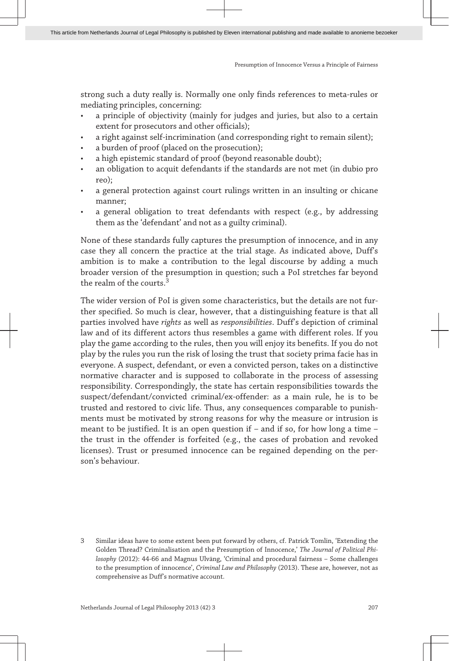strong such a duty really is. Normally one only finds references to meta-rules or mediating principles, concerning:

- a principle of objectivity (mainly for judges and juries, but also to a certain extent for prosecutors and other officials);
- a right against self-incrimination (and corresponding right to remain silent);
- a burden of proof (placed on the prosecution);
- a high epistemic standard of proof (beyond reasonable doubt);
- an obligation to acquit defendants if the standards are not met (in dubio pro reo);
- a general protection against court rulings written in an insulting or chicane manner;
- a general obligation to treat defendants with respect (e.g., by addressing them as the 'defendant' and not as a guilty criminal).

None of these standards fully captures the presumption of innocence, and in any case they all concern the practice at the trial stage. As indicated above, Duff's ambition is to make a contribution to the legal discourse by adding a much broader version of the presumption in question; such a PoI stretches far beyond the realm of the courts  $3$ 

The wider version of PoI is given some characteristics, but the details are not further specified. So much is clear, however, that a distinguishing feature is that all parties involved have *rights* as well as *responsibilities*. Duff's depiction of criminal law and of its different actors thus resembles a game with different roles. If you play the game according to the rules, then you will enjoy its benefits. If you do not play by the rules you run the risk of losing the trust that society prima facie has in everyone. A suspect, defendant, or even a convicted person, takes on a distinctive normative character and is supposed to collaborate in the process of assessing responsibility. Correspondingly, the state has certain responsibilities towards the suspect/defendant/convicted criminal/ex-offender: as a main rule, he is to be trusted and restored to civic life. Thus, any consequences comparable to punishments must be motivated by strong reasons for why the measure or intrusion is meant to be justified. It is an open question if – and if so, for how long a time – the trust in the offender is forfeited (e.g., the cases of probation and revoked licenses). Trust or presumed innocence can be regained depending on the person's behaviour.

<sup>3</sup> Similar ideas have to some extent been put forward by others, cf. Patrick Tomlin, 'Extending the Golden Thread? Criminalisation and the Presumption of Innocence,' *The Journal of Political Philosophy* (2012): 44-66 and Magnus Ulväng, 'Criminal and procedural fairness – Some challenges to the presumption of innocence', *Criminal Law and Philosophy* (2013). These are, however, not as comprehensive as Duff's normative account.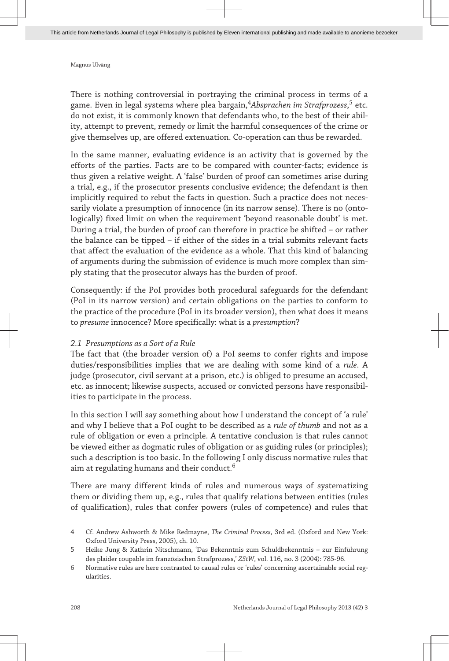There is nothing controversial in portraying the criminal process in terms of a game. Even in legal systems where plea bargain,<sup>4</sup>A*bsprachen im Strafprozess*,<sup>5</sup> etc. do not exist, it is commonly known that defendants who, to the best of their ability, attempt to prevent, remedy or limit the harmful consequences of the crime or give themselves up, are offered extenuation. Co-operation can thus be rewarded.

In the same manner, evaluating evidence is an activity that is governed by the efforts of the parties. Facts are to be compared with counter-facts; evidence is thus given a relative weight. A 'false' burden of proof can sometimes arise during a trial, e.g., if the prosecutor presents conclusive evidence; the defendant is then implicitly required to rebut the facts in question. Such a practice does not necessarily violate a presumption of innocence (in its narrow sense). There is no (ontologically) fixed limit on when the requirement 'beyond reasonable doubt' is met. During a trial, the burden of proof can therefore in practice be shifted – or rather the balance can be tipped – if either of the sides in a trial submits relevant facts that affect the evaluation of the evidence as a whole. That this kind of balancing of arguments during the submission of evidence is much more complex than simply stating that the prosecutor always has the burden of proof.

Consequently: if the PoI provides both procedural safeguards for the defendant (PoI in its narrow version) and certain obligations on the parties to conform to the practice of the procedure (PoI in its broader version), then what does it means to *presume* innocence? More specifically: what is a *presumption*?

#### *2.1 Presumptions as a Sort of a Rule*

The fact that (the broader version of) a PoI seems to confer rights and impose duties/responsibilities implies that we are dealing with some kind of a *rule*. A judge (prosecutor, civil servant at a prison, etc.) is obliged to presume an accused, etc. as innocent; likewise suspects, accused or convicted persons have responsibilities to participate in the process.

In this section I will say something about how I understand the concept of 'a rule' and why I believe that a PoI ought to be described as a *rule of thumb* and not as a rule of obligation or even a principle. A tentative conclusion is that rules cannot be viewed either as dogmatic rules of obligation or as guiding rules (or principles); such a description is too basic. In the following I only discuss normative rules that aim at regulating humans and their conduct.<sup>6</sup>

There are many different kinds of rules and numerous ways of systematizing them or dividing them up, e.g., rules that qualify relations between entities (rules of qualification), rules that confer powers (rules of competence) and rules that

<sup>4</sup> Cf. Andrew Ashworth & Mike Redmayne, *The Criminal Process*, 3rd ed. (Oxford and New York: Oxford University Press, 2005), ch. 10.

<sup>5</sup> Heike Jung & Kathrin Nitschmann, 'Das Bekenntnis zum Schuldbekenntnis – zur Einführung des plaider coupable im französischen Strafprozess,' *ZStW*, vol. 116, no. 3 (2004): 785-96.

<sup>6</sup> Normative rules are here contrasted to causal rules or 'rules' concerning ascertainable social regularities.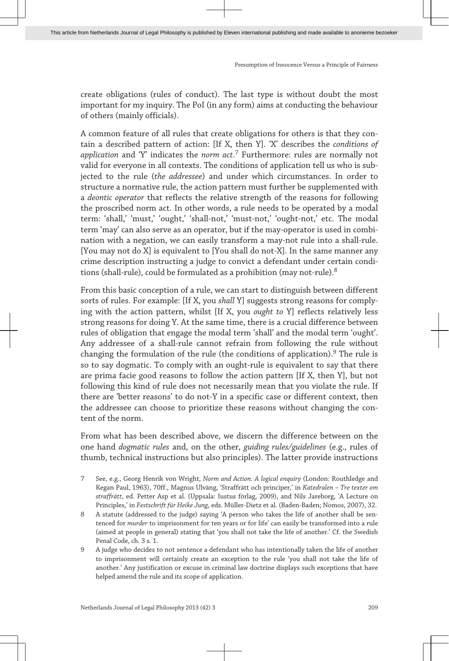create obligations (rules of conduct). The last type is without doubt the most important for my inquiry. The PoI (in any form) aims at conducting the behaviour of others (mainly officials).

A common feature of all rules that create obligations for others is that they contain a described pattern of action: [If X, then Y]. 'X' describes the *conditions of application* and 'Y' indicates the *norm act*. 7 Furthermore: rules are normally not valid for everyone in all contexts. The conditions of application tell us who is subjected to the rule (*the addressee*) and under which circumstances. In order to structure a normative rule, the action pattern must further be supplemented with a *deontic operator* that reflects the relative strength of the reasons for following the proscribed norm act. In other words, a rule needs to be operated by a modal term: 'shall,' 'must,' 'ought,' 'shall-not,' 'must-not,' 'ought-not,' etc. The modal term 'may' can also serve as an operator, but if the may-operator is used in combination with a negation, we can easily transform a may-not rule into a shall-rule. [You may not do X] is equivalent to [You shall do not-X]. In the same manner any crime description instructing a judge to convict a defendant under certain conditions (shall-rule), could be formulated as a prohibition (may not-rule).<sup>8</sup>

From this basic conception of a rule, we can start to distinguish between different sorts of rules. For example: [If X, you *shall* Y] suggests strong reasons for complying with the action pattern, whilst [If X, you *ought to* Y] reflects relatively less strong reasons for doing Y. At the same time, there is a crucial difference between rules of obligation that engage the modal term 'shall' and the modal term 'ought'. Any addressee of a shall-rule cannot refrain from following the rule without changing the formulation of the rule (the conditions of application).<sup>9</sup> The rule is so to say dogmatic. To comply with an ought-rule is equivalent to say that there are prima facie good reasons to follow the action pattern [If X, then Y], but not following this kind of rule does not necessarily mean that you violate the rule. If there are 'better reasons' to do not-Y in a specific case or different context, then the addressee can choose to prioritize these reasons without changing the content of the norm.

From what has been described above, we discern the difference between on the one hand *dogmatic rules* and, on the other, *guiding rules/guidelines* (e.g., rules of thumb, technical instructions but also principles). The latter provide instructions

- 7 See, e.g., Georg Henrik von Wright, *Norm and Action. A logical enquiry* (London: Routhledge and Kegan Paul, 1963), 70ff., Magnus Ulväng, 'Straffrätt och principer,' in *Katedralen – Tre texter om straffrätt*, ed. Petter Asp et al. (Uppsala: Iustus förlag, 2009), and Nils Jareborg, 'A Lecture on Principles,' in *Festschrift für Heike Jung*, eds. Müller-Dietz et al. (Baden-Baden; Nomos, 2007), 32.
- 8 A statute (addressed to the judge) saying 'A person who takes the life of another shall be sentenced for *murder* to imprisonment for ten years or for life' can easily be transformed into a rule (aimed at people in general) stating that 'you shall not take the life of another.' Cf. the Swedish Penal Code, ch. 3 s. 1.
- 9 A judge who decides to not sentence a defendant who has intentionally taken the life of another to imprisonment will certainly create an exception to the rule 'you shall not take the life of another.' Any justification or excuse in criminal law doctrine displays such exceptions that have helped amend the rule and its scope of application.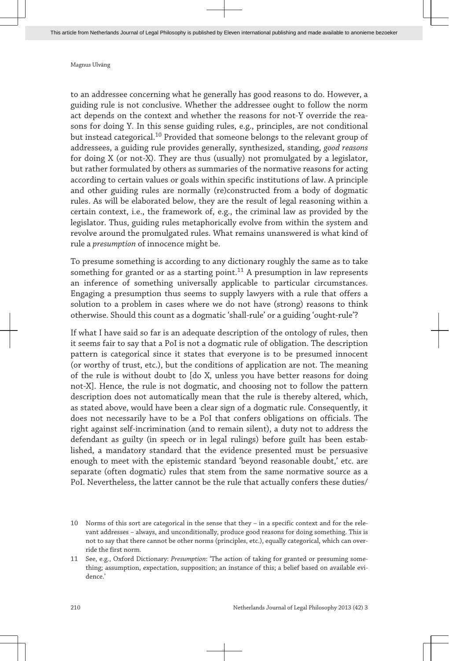to an addressee concerning what he generally has good reasons to do. However, a guiding rule is not conclusive. Whether the addressee ought to follow the norm act depends on the context and whether the reasons for not-Y override the reasons for doing Y. In this sense guiding rules, e.g., principles, are not conditional but instead categorical.<sup>10</sup> Provided that someone belongs to the relevant group of addressees, a guiding rule provides generally, synthesized, standing, *good reasons* for doing X (or not-X). They are thus (usually) not promulgated by a legislator, but rather formulated by others as summaries of the normative reasons for acting according to certain values or goals within specific institutions of law. A principle and other guiding rules are normally (re)constructed from a body of dogmatic rules. As will be elaborated below, they are the result of legal reasoning within a certain context, i.e., the framework of, e.g., the criminal law as provided by the legislator. Thus, guiding rules metaphorically evolve from within the system and revolve around the promulgated rules. What remains unanswered is what kind of rule a *presumption* of innocence might be.

To presume something is according to any dictionary roughly the same as to take something for granted or as a starting point.<sup>11</sup> A presumption in law represents an inference of something universally applicable to particular circumstances. Engaging a presumption thus seems to supply lawyers with a rule that offers a solution to a problem in cases where we do not have (strong) reasons to think otherwise. Should this count as a dogmatic 'shall-rule' or a guiding 'ought-rule'?

If what I have said so far is an adequate description of the ontology of rules, then it seems fair to say that a PoI is not a dogmatic rule of obligation. The description pattern is categorical since it states that everyone is to be presumed innocent (or worthy of trust, etc.), but the conditions of application are not. The meaning of the rule is without doubt to [do X, unless you have better reasons for doing not-X]. Hence, the rule is not dogmatic, and choosing not to follow the pattern description does not automatically mean that the rule is thereby altered, which, as stated above, would have been a clear sign of a dogmatic rule. Consequently, it does not necessarily have to be a PoI that confers obligations on officials. The right against self-incrimination (and to remain silent), a duty not to address the defendant as guilty (in speech or in legal rulings) before guilt has been established, a mandatory standard that the evidence presented must be persuasive enough to meet with the epistemic standard 'beyond reasonable doubt,' etc. are separate (often dogmatic) rules that stem from the same normative source as a PoI. Nevertheless, the latter cannot be the rule that actually confers these duties/

<sup>10</sup> Norms of this sort are categorical in the sense that they – in a specific context and for the relevant addresses – always, and unconditionally, produce good reasons for doing something. This is not to say that there cannot be other norms (principles, etc.), equally categorical, which can override the first norm.

<sup>11</sup> See, e.g., Oxford Dictionary: *Presumption*: 'The action of taking for granted or presuming something; assumption, expectation, supposition; an instance of this; a belief based on available evidence.'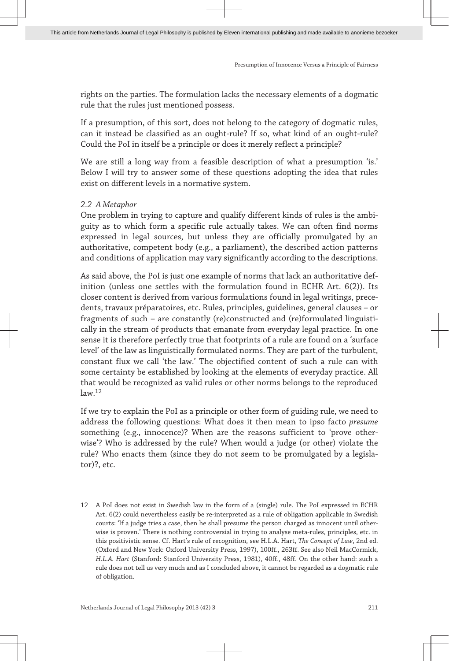rights on the parties. The formulation lacks the necessary elements of a dogmatic rule that the rules just mentioned possess.

If a presumption, of this sort, does not belong to the category of dogmatic rules, can it instead be classified as an ought-rule? If so, what kind of an ought-rule? Could the PoI in itself be a principle or does it merely reflect a principle?

We are still a long way from a feasible description of what a presumption 'is.' Below I will try to answer some of these questions adopting the idea that rules exist on different levels in a normative system.

### *2.2 A Metaphor*

One problem in trying to capture and qualify different kinds of rules is the ambiguity as to which form a specific rule actually takes. We can often find norms expressed in legal sources, but unless they are officially promulgated by an authoritative, competent body (e.g., a parliament), the described action patterns and conditions of application may vary significantly according to the descriptions.

As said above, the PoI is just one example of norms that lack an authoritative definition (unless one settles with the formulation found in ECHR Art. 6(2)). Its closer content is derived from various formulations found in legal writings, precedents, travaux préparatoires, etc. Rules, principles, guidelines, general clauses – or fragments of such – are constantly (re)constructed and (re)formulated linguistically in the stream of products that emanate from everyday legal practice. In one sense it is therefore perfectly true that footprints of a rule are found on a 'surface level' of the law as linguistically formulated norms. They are part of the turbulent, constant flux we call 'the law.' The objectified content of such a rule can with some certainty be established by looking at the elements of everyday practice. All that would be recognized as valid rules or other norms belongs to the reproduced  $\frac{1}{2}$ 

If we try to explain the PoI as a principle or other form of guiding rule, we need to address the following questions: What does it then mean to ipso facto *presume* something (e.g., innocence)? When are the reasons sufficient to 'prove otherwise'? Who is addressed by the rule? When would a judge (or other) violate the rule? Who enacts them (since they do not seem to be promulgated by a legislator)?, etc.

12 A PoI does not exist in Swedish law in the form of a (single) rule. The PoI expressed in ECHR Art. 6(2) could nevertheless easily be re-interpreted as a rule of obligation applicable in Swedish courts: 'If a judge tries a case, then he shall presume the person charged as innocent until otherwise is proven.' There is nothing controversial in trying to analyse meta-rules, principles, etc. in this positivistic sense. Cf. Hart's rule of recognition, see H.L.A. Hart, *The Concept of Law*, 2nd ed. (Oxford and New York: Oxford University Press, 1997), 100ff., 263ff. See also Neil MacCormick, *H.L.A. Hart* (Stanford: Stanford University Press, 1981), 40ff., 48ff. On the other hand: such a rule does not tell us very much and as I concluded above, it cannot be regarded as a dogmatic rule of obligation.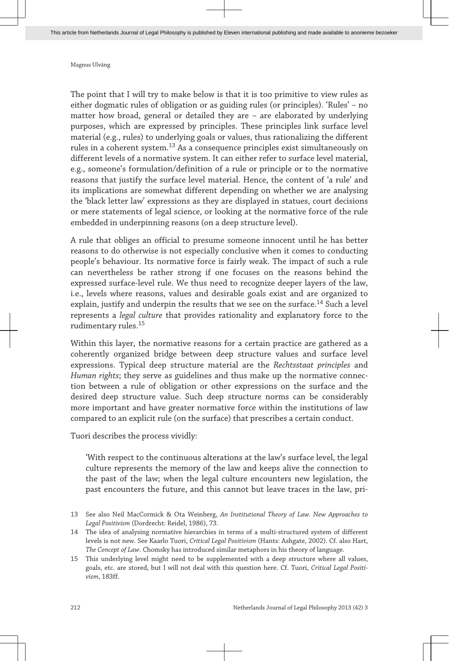The point that I will try to make below is that it is too primitive to view rules as either dogmatic rules of obligation or as guiding rules (or principles). 'Rules' – no matter how broad, general or detailed they are – are elaborated by underlying purposes, which are expressed by principles. These principles link surface level material (e.g., rules) to underlying goals or values, thus rationalizing the different rules in a coherent system.<sup>13</sup> As a consequence principles exist simultaneously on different levels of a normative system. It can either refer to surface level material, e.g., someone's formulation/definition of a rule or principle or to the normative reasons that justify the surface level material. Hence, the content of 'a rule' and its implications are somewhat different depending on whether we are analysing the 'black letter law' expressions as they are displayed in statues, court decisions or mere statements of legal science, or looking at the normative force of the rule embedded in underpinning reasons (on a deep structure level).

A rule that obliges an official to presume someone innocent until he has better reasons to do otherwise is not especially conclusive when it comes to conducting people's behaviour. Its normative force is fairly weak. The impact of such a rule can nevertheless be rather strong if one focuses on the reasons behind the expressed surface-level rule. We thus need to recognize deeper layers of the law, i.e., levels where reasons, values and desirable goals exist and are organized to explain, justify and underpin the results that we see on the surface.<sup>14</sup> Such a level represents a *legal culture* that provides rationality and explanatory force to the rudimentary rules.<sup>15</sup>

Within this layer, the normative reasons for a certain practice are gathered as a coherently organized bridge between deep structure values and surface level expressions. Typical deep structure material are the *Rechtsstaat principles* and *Human rights*; they serve as guidelines and thus make up the normative connection between a rule of obligation or other expressions on the surface and the desired deep structure value. Such deep structure norms can be considerably more important and have greater normative force within the institutions of law compared to an explicit rule (on the surface) that prescribes a certain conduct.

Tuori describes the process vividly:

'With respect to the continuous alterations at the law's surface level, the legal culture represents the memory of the law and keeps alive the connection to the past of the law; when the legal culture encounters new legislation, the past encounters the future, and this cannot but leave traces in the law, pri-

<sup>13</sup> See also Neil MacCormick & Ota Weinberg, *An Institutional Theory of Law. New Approaches to Legal Positivism* (Dordrecht: Reidel, 1986), 73.

<sup>14</sup> The idea of analysing normative hierarchies in terms of a multi-structured system of different levels is not new. See Kaarlo Tuori, *Critical Legal Positivism* (Hants: Ashgate, 2002). Cf. also Hart, *The Concept of Law*. Chomsky has introduced similar metaphors in his theory of language.

<sup>15</sup> This underlying level might need to be supplemented with a deep structure where all values, goals, etc. are stored, but I will not deal with this question here. Cf. Tuori, *Critical Legal Positivism*, 183ff.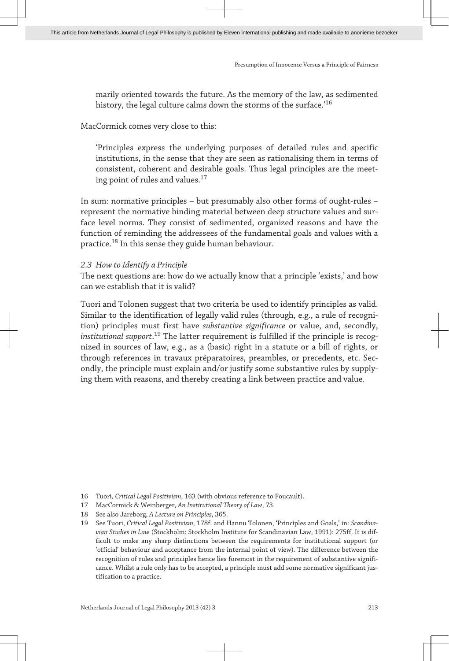marily oriented towards the future. As the memory of the law, as sedimented history, the legal culture calms down the storms of the surface.<sup>'16</sup>

MacCormick comes very close to this:

'Principles express the underlying purposes of detailed rules and specific institutions, in the sense that they are seen as rationalising them in terms of consistent, coherent and desirable goals. Thus legal principles are the meeting point of rules and values.<sup>17</sup>

In sum: normative principles – but presumably also other forms of ought-rules – represent the normative binding material between deep structure values and surface level norms. They consist of sedimented, organized reasons and have the function of reminding the addressees of the fundamental goals and values with a practice.<sup>18</sup> In this sense they guide human behaviour.

#### *2.3 How to Identify a Principle*

The next questions are: how do we actually know that a principle 'exists,' and how can we establish that it is valid?

Tuori and Tolonen suggest that two criteria be used to identify principles as valid. Similar to the identification of legally valid rules (through, e.g., a rule of recognition) principles must first have *substantive significance* or value, and, secondly, *institutional support*. <sup>19</sup> The latter requirement is fulfilled if the principle is recognized in sources of law, e.g., as a (basic) right in a statute or a bill of rights, or through references in travaux préparatoires, preambles, or precedents, etc. Secondly, the principle must explain and/or justify some substantive rules by supplying them with reasons, and thereby creating a link between practice and value.

<sup>16</sup> Tuori, *Critical Legal Positivism*, 163 (with obvious reference to Foucault).

<sup>17</sup> MacCormick & Weinberger, *An Institutional Theory of Law*, 73.

<sup>18</sup> See also Jareborg, *A Lecture on Principles*, 365.

<sup>19</sup> See Tuori, *Critical Legal Positivism*, 178f. and Hannu Tolonen, 'Principles and Goals,' in: *Scandinavian Studies in Law* (Stockholm: Stockholm Institute for Scandinavian Law, 1991): 275ff. It is difficult to make any sharp distinctions between the requirements for institutional support (or 'official' behaviour and acceptance from the internal point of view). The difference between the recognition of rules and principles hence lies foremost in the requirement of substantive significance. Whilst a rule only has to be accepted, a principle must add some normative significant justification to a practice.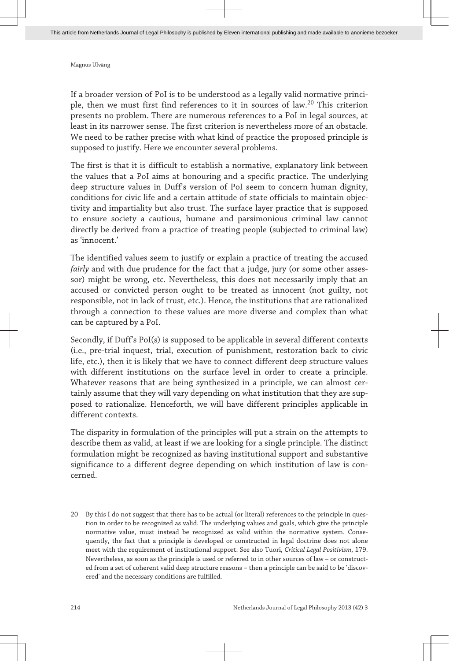If a broader version of PoI is to be understood as a legally valid normative principle, then we must first find references to it in sources of law.<sup>20</sup> This criterion presents no problem. There are numerous references to a PoI in legal sources, at least in its narrower sense. The first criterion is nevertheless more of an obstacle. We need to be rather precise with what kind of practice the proposed principle is supposed to justify. Here we encounter several problems.

The first is that it is difficult to establish a normative, explanatory link between the values that a PoI aims at honouring and a specific practice. The underlying deep structure values in Duff's version of PoI seem to concern human dignity, conditions for civic life and a certain attitude of state officials to maintain objectivity and impartiality but also trust. The surface layer practice that is supposed to ensure society a cautious, humane and parsimonious criminal law cannot directly be derived from a practice of treating people (subjected to criminal law) as 'innocent.'

The identified values seem to justify or explain a practice of treating the accused *fairly* and with due prudence for the fact that a judge, jury (or some other assessor) might be wrong, etc. Nevertheless, this does not necessarily imply that an accused or convicted person ought to be treated as innocent (not guilty, not responsible, not in lack of trust, etc.). Hence, the institutions that are rationalized through a connection to these values are more diverse and complex than what can be captured by a PoI.

Secondly, if Duff's PoI(s) is supposed to be applicable in several different contexts (i.e., pre-trial inquest, trial, execution of punishment, restoration back to civic life, etc.), then it is likely that we have to connect different deep structure values with different institutions on the surface level in order to create a principle. Whatever reasons that are being synthesized in a principle, we can almost certainly assume that they will vary depending on what institution that they are supposed to rationalize. Henceforth, we will have different principles applicable in different contexts.

The disparity in formulation of the principles will put a strain on the attempts to describe them as valid, at least if we are looking for a single principle. The distinct formulation might be recognized as having institutional support and substantive significance to a different degree depending on which institution of law is concerned.

20 By this I do not suggest that there has to be actual (or literal) references to the principle in question in order to be recognized as valid. The underlying values and goals, which give the principle normative value, must instead be recognized as valid within the normative system. Consequently, the fact that a principle is developed or constructed in legal doctrine does not alone meet with the requirement of institutional support. See also Tuori, *Critical Legal Positivism*, 179. Nevertheless, as soon as the principle is used or referred to in other sources of law – or constructed from a set of coherent valid deep structure reasons – then a principle can be said to be 'discovered' and the necessary conditions are fulfilled.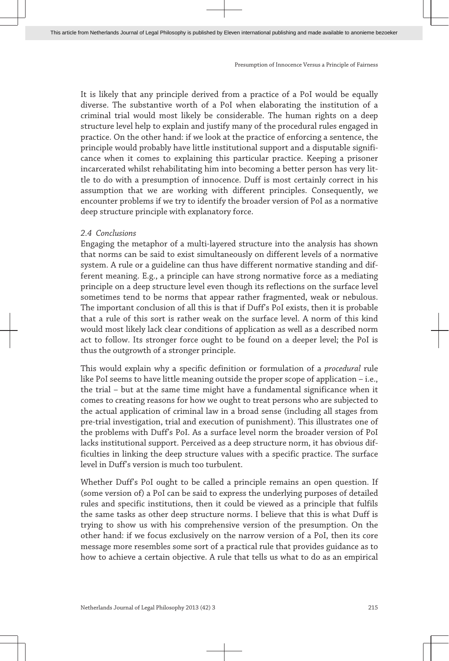It is likely that any principle derived from a practice of a PoI would be equally diverse. The substantive worth of a PoI when elaborating the institution of a criminal trial would most likely be considerable. The human rights on a deep structure level help to explain and justify many of the procedural rules engaged in practice. On the other hand: if we look at the practice of enforcing a sentence, the principle would probably have little institutional support and a disputable significance when it comes to explaining this particular practice. Keeping a prisoner incarcerated whilst rehabilitating him into becoming a better person has very little to do with a presumption of innocence. Duff is most certainly correct in his assumption that we are working with different principles. Consequently, we encounter problems if we try to identify the broader version of PoI as a normative deep structure principle with explanatory force.

#### *2.4 Conclusions*

Engaging the metaphor of a multi-layered structure into the analysis has shown that norms can be said to exist simultaneously on different levels of a normative system. A rule or a guideline can thus have different normative standing and different meaning. E.g., a principle can have strong normative force as a mediating principle on a deep structure level even though its reflections on the surface level sometimes tend to be norms that appear rather fragmented, weak or nebulous. The important conclusion of all this is that if Duff's PoI exists, then it is probable that a rule of this sort is rather weak on the surface level. A norm of this kind would most likely lack clear conditions of application as well as a described norm act to follow. Its stronger force ought to be found on a deeper level; the PoI is thus the outgrowth of a stronger principle.

This would explain why a specific definition or formulation of a *procedural* rule like PoI seems to have little meaning outside the proper scope of application – i.e., the trial – but at the same time might have a fundamental significance when it comes to creating reasons for how we ought to treat persons who are subjected to the actual application of criminal law in a broad sense (including all stages from pre-trial investigation, trial and execution of punishment). This illustrates one of the problems with Duff's PoI. As a surface level norm the broader version of PoI lacks institutional support. Perceived as a deep structure norm, it has obvious difficulties in linking the deep structure values with a specific practice. The surface level in Duff's version is much too turbulent.

Whether Duff's PoI ought to be called a principle remains an open question. If (some version of) a PoI can be said to express the underlying purposes of detailed rules and specific institutions, then it could be viewed as a principle that fulfils the same tasks as other deep structure norms. I believe that this is what Duff is trying to show us with his comprehensive version of the presumption. On the other hand: if we focus exclusively on the narrow version of a PoI, then its core message more resembles some sort of a practical rule that provides guidance as to how to achieve a certain objective. A rule that tells us what to do as an empirical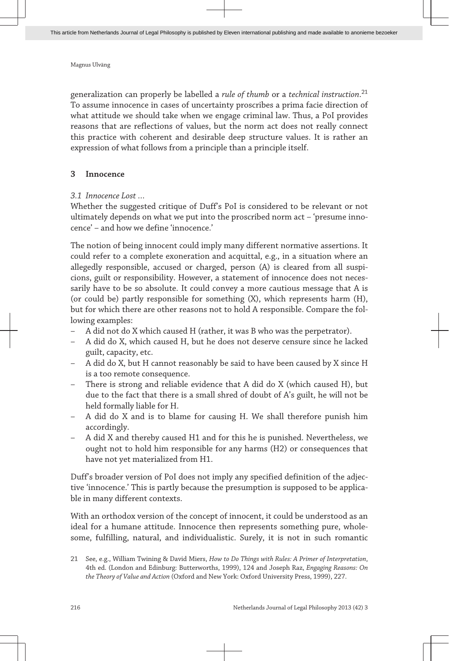generalization can properly be labelled a *rule of thumb* or a *technical instruction*. 21 To assume innocence in cases of uncertainty proscribes a prima facie direction of what attitude we should take when we engage criminal law. Thus, a PoI provides reasons that are reflections of values, but the norm act does not really connect this practice with coherent and desirable deep structure values. It is rather an expression of what follows from a principle than a principle itself.

#### **3 Innocence**

#### *3.1 Innocence Lost …*

Whether the suggested critique of Duff's PoI is considered to be relevant or not ultimately depends on what we put into the proscribed norm act – 'presume innocence' – and how we define 'innocence.'

The notion of being innocent could imply many different normative assertions. It could refer to a complete exoneration and acquittal, e.g., in a situation where an allegedly responsible, accused or charged, person (A) is cleared from all suspicions, guilt or responsibility. However, a statement of innocence does not necessarily have to be so absolute. It could convey a more cautious message that A is (or could be) partly responsible for something (X), which represents harm (H), but for which there are other reasons not to hold A responsible. Compare the following examples:

- A did not do X which caused H (rather, it was B who was the perpetrator).
- A did do X, which caused H, but he does not deserve censure since he lacked guilt, capacity, etc.
- A did do X, but H cannot reasonably be said to have been caused by X since H is a too remote consequence.
- There is strong and reliable evidence that A did do X (which caused H), but due to the fact that there is a small shred of doubt of A's guilt, he will not be held formally liable for H.
- A did do X and is to blame for causing H. We shall therefore punish him accordingly.
- A did X and thereby caused H1 and for this he is punished. Nevertheless, we ought not to hold him responsible for any harms (H2) or consequences that have not yet materialized from H1.

Duff's broader version of PoI does not imply any specified definition of the adjective 'innocence.' This is partly because the presumption is supposed to be applicable in many different contexts.

With an orthodox version of the concept of innocent, it could be understood as an ideal for a humane attitude. Innocence then represents something pure, wholesome, fulfilling, natural, and individualistic. Surely, it is not in such romantic

<sup>21</sup> See, e.g., William Twining & David Miers, *How to Do Things with Rules: A Primer of Interpretation*, 4th ed. (London and Edinburg: Butterworths, 1999), 124 and Joseph Raz, *Engaging Reasons: On the Theory of Value and Action* (Oxford and New York: Oxford University Press, 1999), 227.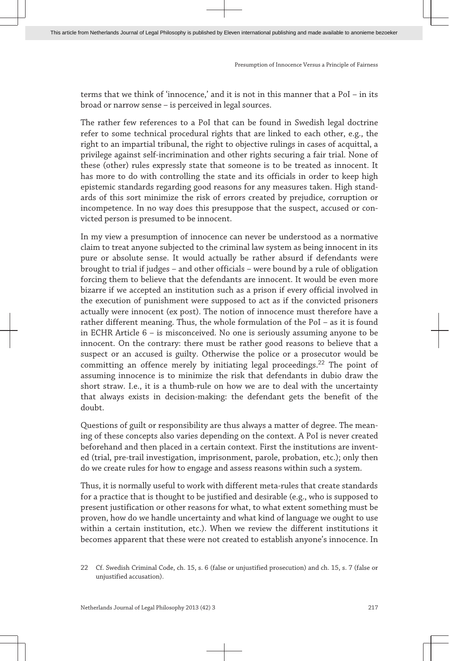terms that we think of 'innocence,' and it is not in this manner that a PoI – in its broad or narrow sense – is perceived in legal sources.

The rather few references to a PoI that can be found in Swedish legal doctrine refer to some technical procedural rights that are linked to each other, e.g., the right to an impartial tribunal, the right to objective rulings in cases of acquittal, a privilege against self-incrimination and other rights securing a fair trial. None of these (other) rules expressly state that someone is to be treated as innocent. It has more to do with controlling the state and its officials in order to keep high epistemic standards regarding good reasons for any measures taken. High standards of this sort minimize the risk of errors created by prejudice, corruption or incompetence. In no way does this presuppose that the suspect, accused or convicted person is presumed to be innocent.

In my view a presumption of innocence can never be understood as a normative claim to treat anyone subjected to the criminal law system as being innocent in its pure or absolute sense. It would actually be rather absurd if defendants were brought to trial if judges – and other officials – were bound by a rule of obligation forcing them to believe that the defendants are innocent. It would be even more bizarre if we accepted an institution such as a prison if every official involved in the execution of punishment were supposed to act as if the convicted prisoners actually were innocent (ex post). The notion of innocence must therefore have a rather different meaning. Thus, the whole formulation of the PoI – as it is found in ECHR Article 6 – is misconceived. No one is seriously assuming anyone to be innocent. On the contrary: there must be rather good reasons to believe that a suspect or an accused is guilty. Otherwise the police or a prosecutor would be committing an offence merely by initiating legal proceedings.<sup>22</sup> The point of assuming innocence is to minimize the risk that defendants in dubio draw the short straw. I.e., it is a thumb-rule on how we are to deal with the uncertainty that always exists in decision-making: the defendant gets the benefit of the doubt.

Questions of guilt or responsibility are thus always a matter of degree. The meaning of these concepts also varies depending on the context. A PoI is never created beforehand and then placed in a certain context. First the institutions are invented (trial, pre-trail investigation, imprisonment, parole, probation, etc.); only then do we create rules for how to engage and assess reasons within such a system.

Thus, it is normally useful to work with different meta-rules that create standards for a practice that is thought to be justified and desirable (e.g., who is supposed to present justification or other reasons for what, to what extent something must be proven, how do we handle uncertainty and what kind of language we ought to use within a certain institution, etc.). When we review the different institutions it becomes apparent that these were not created to establish anyone's innocence. In

<sup>22</sup> Cf. Swedish Criminal Code, ch. 15, s. 6 (false or unjustified prosecution) and ch. 15, s. 7 (false or unjustified accusation).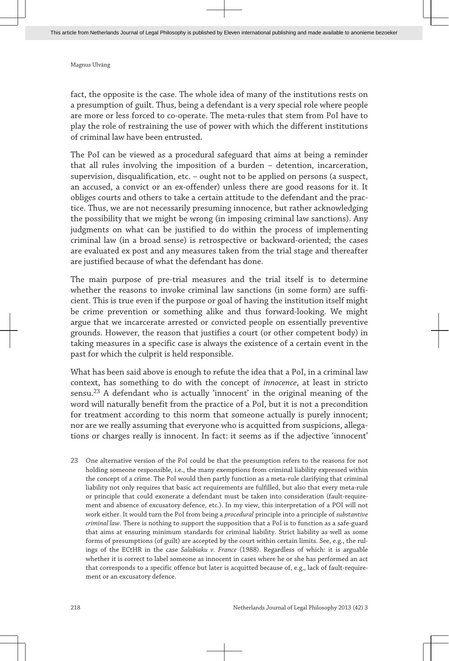fact, the opposite is the case. The whole idea of many of the institutions rests on a presumption of guilt. Thus, being a defendant is a very special role where people are more or less forced to co-operate. The meta-rules that stem from PoI have to play the role of restraining the use of power with which the different institutions of criminal law have been entrusted.

The PoI can be viewed as a procedural safeguard that aims at being a reminder that all rules involving the imposition of a burden – detention, incarceration, supervision, disqualification, etc. – ought not to be applied on persons (a suspect, an accused, a convict or an ex-offender) unless there are good reasons for it. It obliges courts and others to take a certain attitude to the defendant and the practice. Thus, we are not necessarily presuming innocence, but rather acknowledging the possibility that we might be wrong (in imposing criminal law sanctions). Any judgments on what can be justified to do within the process of implementing criminal law (in a broad sense) is retrospective or backward-oriented; the cases are evaluated ex post and any measures taken from the trial stage and thereafter are justified because of what the defendant has done.

The main purpose of pre-trial measures and the trial itself is to determine whether the reasons to invoke criminal law sanctions (in some form) are sufficient. This is true even if the purpose or goal of having the institution itself might be crime prevention or something alike and thus forward-looking. We might argue that we incarcerate arrested or convicted people on essentially preventive grounds. However, the reason that justifies a court (or other competent body) in taking measures in a specific case is always the existence of a certain event in the past for which the culprit is held responsible.

What has been said above is enough to refute the idea that a PoI, in a criminal law context, has something to do with the concept of *innocence*, at least in stricto sensu.<sup>23</sup> A defendant who is actually 'innocent' in the original meaning of the word will naturally benefit from the practice of a PoI, but it is not a precondition for treatment according to this norm that someone actually is purely innocent; nor are we really assuming that everyone who is acquitted from suspicions, allegations or charges really is innocent. In fact: it seems as if the adjective 'innocent'

23 One alternative version of the PoI could be that the presumption refers to the reasons for not holding someone responsible, i.e., the many exemptions from criminal liability expressed within the concept of a crime. The PoI would then partly function as a meta-rule clarifying that criminal liability not only requires that basic act requirements are fulfilled, but also that every meta-rule or principle that could exonerate a defendant must be taken into consideration (fault-requirement and absence of excusatory defence, etc.). In my view, this interpretation of a POI will not work either. It would turn the PoI from being a *procedural* principle into a principle of *substantive criminal law*. There is nothing to support the supposition that a PoI is to function as a safe-guard that aims at ensuring minimum standards for criminal liability. Strict liability as well as some forms of presumptions (of guilt) are accepted by the court within certain limits. See, e.g., the rulings of the ECtHR in the case *Salabiaku v. France* (1988). Regardless of which: it is arguable whether it is correct to label someone as innocent in cases where he or she has performed an act that corresponds to a specific offence but later is acquitted because of, e.g., lack of fault-requirement or an excusatory defence.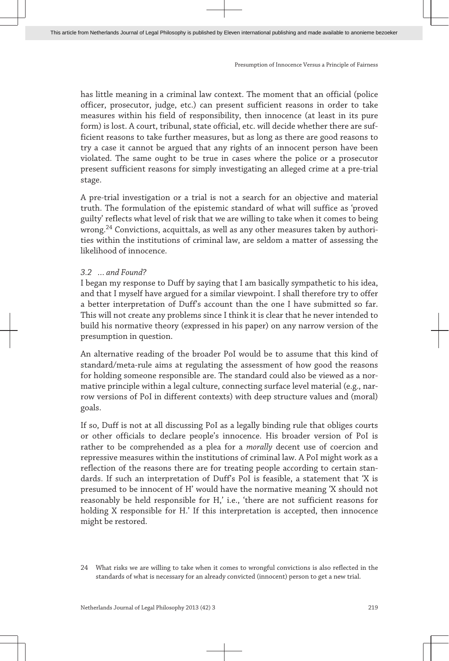has little meaning in a criminal law context. The moment that an official (police officer, prosecutor, judge, etc.) can present sufficient reasons in order to take measures within his field of responsibility, then innocence (at least in its pure form) is lost. A court, tribunal, state official, etc. will decide whether there are sufficient reasons to take further measures, but as long as there are good reasons to try a case it cannot be argued that any rights of an innocent person have been violated. The same ought to be true in cases where the police or a prosecutor present sufficient reasons for simply investigating an alleged crime at a pre-trial stage.

A pre-trial investigation or a trial is not a search for an objective and material truth. The formulation of the epistemic standard of what will suffice as 'proved guilty' reflects what level of risk that we are willing to take when it comes to being wrong.<sup>24</sup> Convictions, acquittals, as well as any other measures taken by authorities within the institutions of criminal law, are seldom a matter of assessing the likelihood of innocence.

#### *3.2 … and Found?*

I began my response to Duff by saying that I am basically sympathetic to his idea, and that I myself have argued for a similar viewpoint. I shall therefore try to offer a better interpretation of Duff's account than the one I have submitted so far. This will not create any problems since I think it is clear that he never intended to build his normative theory (expressed in his paper) on any narrow version of the presumption in question.

An alternative reading of the broader PoI would be to assume that this kind of standard/meta-rule aims at regulating the assessment of how good the reasons for holding someone responsible are. The standard could also be viewed as a normative principle within a legal culture, connecting surface level material (e.g., narrow versions of PoI in different contexts) with deep structure values and (moral) goals.

If so, Duff is not at all discussing PoI as a legally binding rule that obliges courts or other officials to declare people's innocence. His broader version of PoI is rather to be comprehended as a plea for a *morally* decent use of coercion and repressive measures within the institutions of criminal law. A PoI might work as a reflection of the reasons there are for treating people according to certain standards. If such an interpretation of Duff's PoI is feasible, a statement that 'X is presumed to be innocent of H' would have the normative meaning 'X should not reasonably be held responsible for H,' i.e., 'there are not sufficient reasons for holding X responsible for H.' If this interpretation is accepted, then innocence might be restored.

<sup>24</sup> What risks we are willing to take when it comes to wrongful convictions is also reflected in the standards of what is necessary for an already convicted (innocent) person to get a new trial.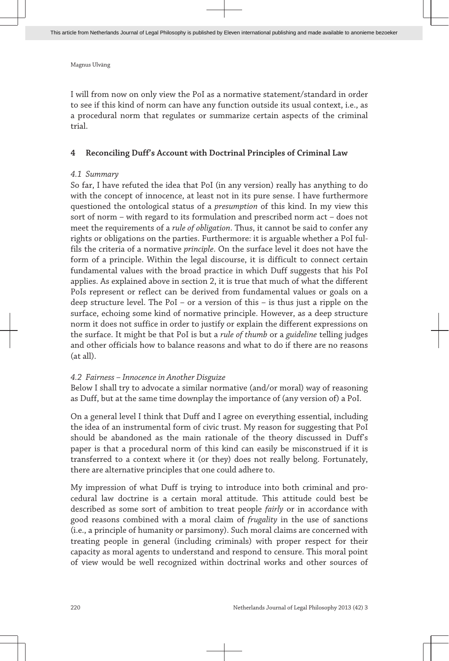I will from now on only view the PoI as a normative statement/standard in order to see if this kind of norm can have any function outside its usual context, i.e., as a procedural norm that regulates or summarize certain aspects of the criminal trial.

#### **4 Reconciling Duff's Account with Doctrinal Principles of Criminal Law**

#### *4.1 Summary*

So far, I have refuted the idea that PoI (in any version) really has anything to do with the concept of innocence, at least not in its pure sense. I have furthermore questioned the ontological status of a *presumption* of this kind. In my view this sort of norm – with regard to its formulation and prescribed norm act – does not meet the requirements of a *rule of obligation*. Thus, it cannot be said to confer any rights or obligations on the parties. Furthermore: it is arguable whether a PoI fulfils the criteria of a normative *principle*. On the surface level it does not have the form of a principle. Within the legal discourse, it is difficult to connect certain fundamental values with the broad practice in which Duff suggests that his PoI applies. As explained above in section 2, it is true that much of what the different PoIs represent or reflect can be derived from fundamental values or goals on a deep structure level. The PoI – or a version of this – is thus just a ripple on the surface, echoing some kind of normative principle. However, as a deep structure norm it does not suffice in order to justify or explain the different expressions on the surface. It might be that PoI is but a *rule of thumb* or a *guideline* telling judges and other officials how to balance reasons and what to do if there are no reasons (at all).

#### *4.2 Fairness – Innocence in Another Disguize*

Below I shall try to advocate a similar normative (and/or moral) way of reasoning as Duff, but at the same time downplay the importance of (any version of) a PoI.

On a general level I think that Duff and I agree on everything essential, including the idea of an instrumental form of civic trust. My reason for suggesting that PoI should be abandoned as the main rationale of the theory discussed in Duff's paper is that a procedural norm of this kind can easily be misconstrued if it is transferred to a context where it (or they) does not really belong. Fortunately, there are alternative principles that one could adhere to.

My impression of what Duff is trying to introduce into both criminal and procedural law doctrine is a certain moral attitude. This attitude could best be described as some sort of ambition to treat people *fairly* or in accordance with good reasons combined with a moral claim of *frugality* in the use of sanctions (i.e., a principle of humanity or parsimony). Such moral claims are concerned with treating people in general (including criminals) with proper respect for their capacity as moral agents to understand and respond to censure. This moral point of view would be well recognized within doctrinal works and other sources of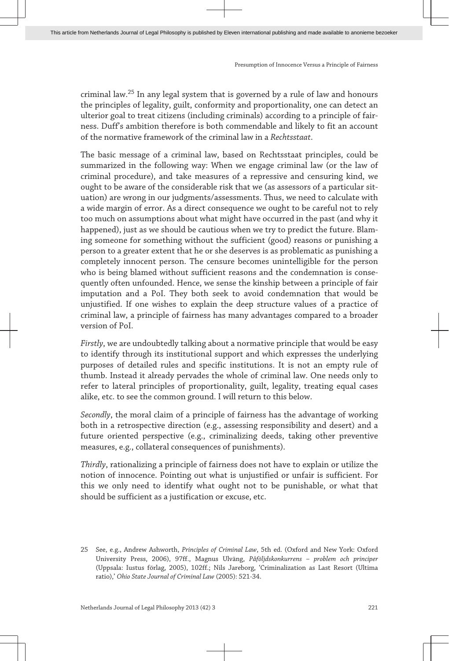criminal law.<sup>25</sup> In any legal system that is governed by a rule of law and honours the principles of legality, guilt, conformity and proportionality, one can detect an ulterior goal to treat citizens (including criminals) according to a principle of fairness. Duff's ambition therefore is both commendable and likely to fit an account of the normative framework of the criminal law in a *Rechtsstaat*.

The basic message of a criminal law, based on Rechtsstaat principles, could be summarized in the following way: When we engage criminal law (or the law of criminal procedure), and take measures of a repressive and censuring kind, we ought to be aware of the considerable risk that we (as assessors of a particular situation) are wrong in our judgments/assessments. Thus, we need to calculate with a wide margin of error. As a direct consequence we ought to be careful not to rely too much on assumptions about what might have occurred in the past (and why it happened), just as we should be cautious when we try to predict the future. Blaming someone for something without the sufficient (good) reasons or punishing a person to a greater extent that he or she deserves is as problematic as punishing a completely innocent person. The censure becomes unintelligible for the person who is being blamed without sufficient reasons and the condemnation is consequently often unfounded. Hence, we sense the kinship between a principle of fair imputation and a PoI. They both seek to avoid condemnation that would be unjustified. If one wishes to explain the deep structure values of a practice of criminal law, a principle of fairness has many advantages compared to a broader version of PoI.

*Firstly*, we are undoubtedly talking about a normative principle that would be easy to identify through its institutional support and which expresses the underlying purposes of detailed rules and specific institutions. It is not an empty rule of thumb. Instead it already pervades the whole of criminal law. One needs only to refer to lateral principles of proportionality, guilt, legality, treating equal cases alike, etc. to see the common ground. I will return to this below.

*Secondly*, the moral claim of a principle of fairness has the advantage of working both in a retrospective direction (e.g., assessing responsibility and desert) and a future oriented perspective (e.g., criminalizing deeds, taking other preventive measures, e.g., collateral consequences of punishments).

*Thirdly*, rationalizing a principle of fairness does not have to explain or utilize the notion of innocence. Pointing out what is unjustified or unfair is sufficient. For this we only need to identify what ought not to be punishable, or what that should be sufficient as a justification or excuse, etc.

<sup>25</sup> See, e.g., Andrew Ashworth, *Principles of Criminal Law*, 5th ed. (Oxford and New York: Oxford University Press, 2006), 97ff., Magnus Ulväng, *Påföljdskonkurrens – problem och principer* (Uppsala: Iustus förlag, 2005), 102ff.; Nils Jareborg, 'Criminalization as Last Resort (Ultima ratio),' *Ohio State Journal of Criminal Law* (2005): 521-34.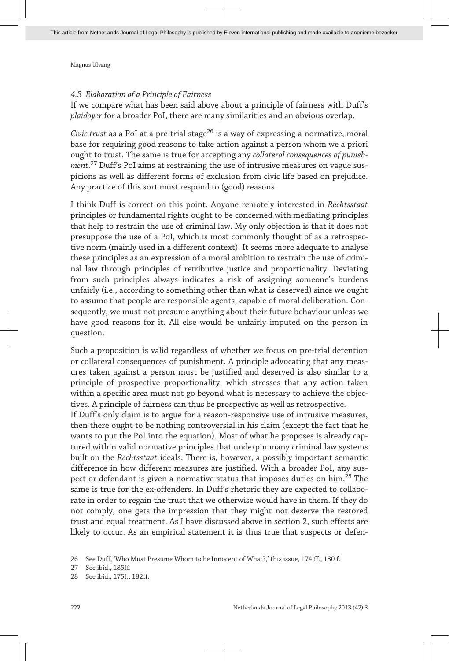#### *4.3 Elaboration of a Principle of Fairness*

If we compare what has been said above about a principle of fairness with Duff's *plaidoyer* for a broader PoI, there are many similarities and an obvious overlap.

*Civic trust* as a PoI at a pre-trial stage<sup>26</sup> is a way of expressing a normative, moral base for requiring good reasons to take action against a person whom we a priori ought to trust. The same is true for accepting any *collateral consequences of punishment*. <sup>27</sup> Duff's PoI aims at restraining the use of intrusive measures on vague suspicions as well as different forms of exclusion from civic life based on prejudice. Any practice of this sort must respond to (good) reasons.

I think Duff is correct on this point. Anyone remotely interested in *Rechtsstaat* principles or fundamental rights ought to be concerned with mediating principles that help to restrain the use of criminal law. My only objection is that it does not presuppose the use of a PoI, which is most commonly thought of as a retrospective norm (mainly used in a different context). It seems more adequate to analyse these principles as an expression of a moral ambition to restrain the use of criminal law through principles of retributive justice and proportionality. Deviating from such principles always indicates a risk of assigning someone's burdens unfairly (i.e., according to something other than what is deserved) since we ought to assume that people are responsible agents, capable of moral deliberation. Consequently, we must not presume anything about their future behaviour unless we have good reasons for it. All else would be unfairly imputed on the person in question.

Such a proposition is valid regardless of whether we focus on pre-trial detention or collateral consequences of punishment. A principle advocating that any measures taken against a person must be justified and deserved is also similar to a principle of prospective proportionality, which stresses that any action taken within a specific area must not go beyond what is necessary to achieve the objectives. A principle of fairness can thus be prospective as well as retrospective.

If Duff's only claim is to argue for a reason-responsive use of intrusive measures, then there ought to be nothing controversial in his claim (except the fact that he wants to put the PoI into the equation). Most of what he proposes is already captured within valid normative principles that underpin many criminal law systems built on the *Rechtsstaat* ideals. There is, however, a possibly important semantic difference in how different measures are justified. With a broader PoI, any suspect or defendant is given a normative status that imposes duties on him.<sup>28</sup> The same is true for the ex-offenders. In Duff's rhetoric they are expected to collaborate in order to regain the trust that we otherwise would have in them. If they do not comply, one gets the impression that they might not deserve the restored trust and equal treatment. As I have discussed above in section 2, such effects are likely to occur. As an empirical statement it is thus true that suspects or defen-

<sup>26</sup> See Duff, 'Who Must Presume Whom to be Innocent of What?,' this issue, 174 ff., 180 f.

<sup>27</sup> See ibid., 185ff.

<sup>28</sup> See ibid., 175f., 182ff.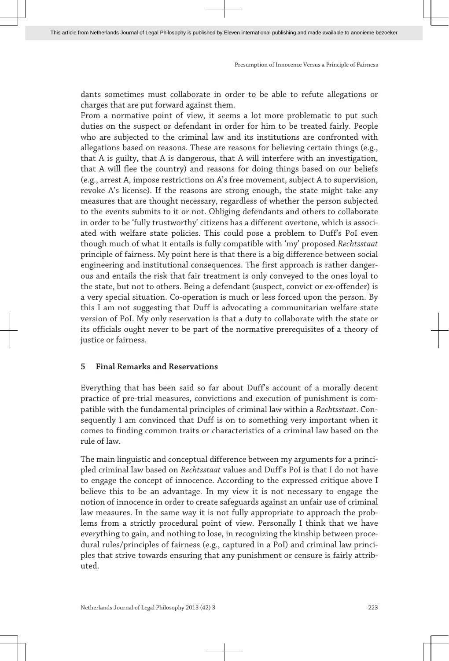dants sometimes must collaborate in order to be able to refute allegations or charges that are put forward against them.

From a normative point of view, it seems a lot more problematic to put such duties on the suspect or defendant in order for him to be treated fairly. People who are subjected to the criminal law and its institutions are confronted with allegations based on reasons. These are reasons for believing certain things (e.g., that A is guilty, that A is dangerous, that A will interfere with an investigation, that A will flee the country) and reasons for doing things based on our beliefs (e.g., arrest A, impose restrictions on A's free movement, subject A to supervision, revoke A's license). If the reasons are strong enough, the state might take any measures that are thought necessary, regardless of whether the person subjected to the events submits to it or not. Obliging defendants and others to collaborate in order to be 'fully trustworthy' citizens has a different overtone, which is associated with welfare state policies. This could pose a problem to Duff's PoI even though much of what it entails is fully compatible with 'my' proposed *Rechtsstaat* principle of fairness. My point here is that there is a big difference between social engineering and institutional consequences. The first approach is rather dangerous and entails the risk that fair treatment is only conveyed to the ones loyal to the state, but not to others. Being a defendant (suspect, convict or ex-offender) is a very special situation. Co-operation is much or less forced upon the person. By this I am not suggesting that Duff is advocating a communitarian welfare state version of PoI. My only reservation is that a duty to collaborate with the state or its officials ought never to be part of the normative prerequisites of a theory of justice or fairness.

#### **5 Final Remarks and Reservations**

Everything that has been said so far about Duff's account of a morally decent practice of pre-trial measures, convictions and execution of punishment is compatible with the fundamental principles of criminal law within a *Rechtsstaat*. Consequently I am convinced that Duff is on to something very important when it comes to finding common traits or characteristics of a criminal law based on the rule of law.

The main linguistic and conceptual difference between my arguments for a principled criminal law based on *Rechtsstaat* values and Duff's PoI is that I do not have to engage the concept of innocence. According to the expressed critique above I believe this to be an advantage. In my view it is not necessary to engage the notion of innocence in order to create safeguards against an unfair use of criminal law measures. In the same way it is not fully appropriate to approach the problems from a strictly procedural point of view. Personally I think that we have everything to gain, and nothing to lose, in recognizing the kinship between procedural rules/principles of fairness (e.g., captured in a PoI) and criminal law principles that strive towards ensuring that any punishment or censure is fairly attributed.